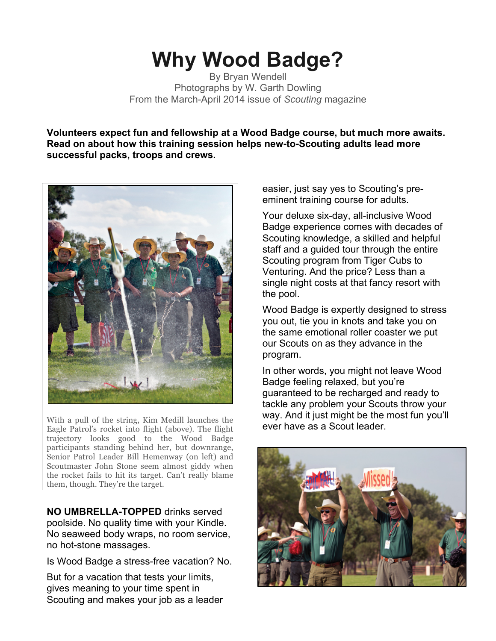## **Why Wood Badge?**

By Bryan Wendell Photographs by W. Garth Dowling From the March-April 2014 issue of *Scouting* magazine

**Volunteers expect fun and fellowship at a Wood Badge course, but much more awaits. Read on about how this training session helps new-to-Scouting adults lead more successful packs, troops and crews.**



With a pull of the string, Kim Medill launches the Eagle Patrol's rocket into flight (above). The flight trajectory looks good to the Wood Badge participants standing behind her, but downrange, Senior Patrol Leader Bill Hemenway (on left) and Scoutmaster John Stone seem almost giddy when the rocket fails to hit its target. Can't really blame them, though. They're the target.

**NO UMBRELLA-TOPPED** drinks served poolside. No quality time with your Kindle. No seaweed body wraps, no room service, no hot-stone massages.

Is Wood Badge a stress-free vacation? No.

But for a vacation that tests your limits, gives meaning to your time spent in Scouting and makes your job as a leader easier, just say yes to Scouting's preeminent training course for adults.

Your deluxe six-day, all-inclusive Wood Badge experience comes with decades of Scouting knowledge, a skilled and helpful staff and a guided tour through the entire Scouting program from Tiger Cubs to Venturing. And the price? Less than a single night costs at that fancy resort with the pool.

Wood Badge is expertly designed to stress you out, tie you in knots and take you on the same emotional roller coaster we put our Scouts on as they advance in the program.

In other words, you might not leave Wood Badge feeling relaxed, but you're guaranteed to be recharged and ready to tackle any problem your Scouts throw your way. And it just might be the most fun you'll ever have as a Scout leader.

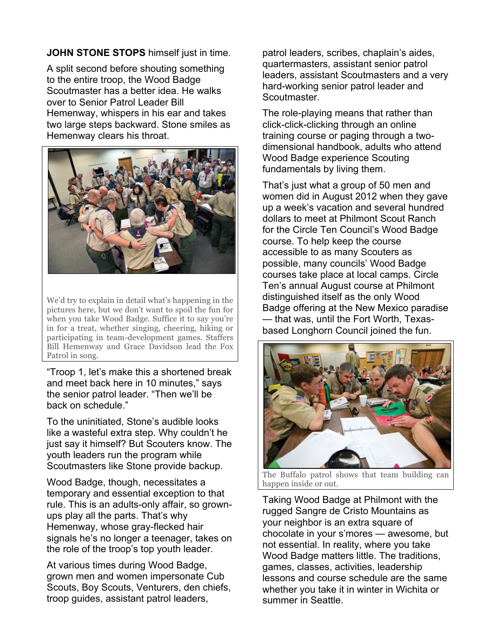## **JOHN STONE STOPS** himself just in time.

A split second before shouting something to the entire troop, the Wood Badge Scoutmaster has a better idea. He walks over to Senior Patrol Leader Bill Hemenway, whispers in his ear and takes two large steps backward. Stone smiles as Hemenway clears his throat.



We'd try to explain in detail what's happening in the pictures here, but we don't want to spoil the fun for when you take Wood Badge. Suffice it to say you're in for a treat, whether singing, cheering, hiking or participating in team-development games. Staffers Bill Hemenway and Grace Davidson lead the Fox Patrol in song.

"Troop 1, let's make this a shortened break and meet back here in 10 minutes," says the senior patrol leader. "Then we'll be back on schedule."

To the uninitiated, Stone's audible looks like a wasteful extra step. Why couldn't he just say it himself? But Scouters know. The youth leaders run the program while Scoutmasters like Stone provide backup.

Wood Badge, though, necessitates a temporary and essential exception to that rule. This is an adults-only affair, so grownups play all the parts. That's why Hemenway, whose gray-flecked hair signals he's no longer a teenager, takes on the role of the troop's top youth leader.

At various times during Wood Badge, grown men and women impersonate Cub Scouts, Boy Scouts, Venturers, den chiefs, troop guides, assistant patrol leaders,

patrol leaders, scribes, chaplain's aides, quartermasters, assistant senior patrol leaders, assistant Scoutmasters and a very hard-working senior patrol leader and Scoutmaster.

The role-playing means that rather than click-click-clicking through an online training course or paging through a twodimensional handbook, adults who attend Wood Badge experience Scouting fundamentals by living them.

That's just what a group of 50 men and women did in August 2012 when they gave up a week's vacation and several hundred dollars to meet at Philmont Scout Ranch for the Circle Ten Council's Wood Badge course. To help keep the course accessible to as many Scouters as possible, many councils' Wood Badge courses take place at local camps. Circle Ten's annual August course at Philmont distinguished itself as the only Wood Badge offering at the New Mexico paradise — that was, until the Fort Worth, Texasbased Longhorn Council joined the fun.



The Buffalo patrol shows that team building can happen inside or out.

Taking Wood Badge at Philmont with the rugged Sangre de Cristo Mountains as your neighbor is an extra square of chocolate in your s'mores — awesome, but not essential. In reality, where you take Wood Badge matters little. The traditions, games, classes, activities, leadership lessons and course schedule are the same whether you take it in winter in Wichita or summer in Seattle.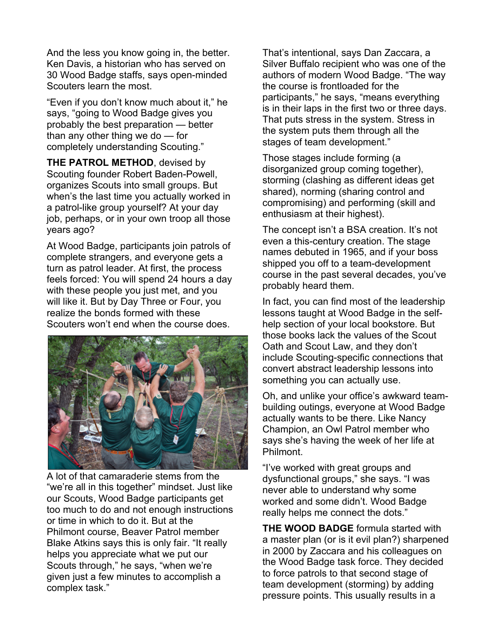And the less you know going in, the better. Ken Davis, a historian who has served on 30 Wood Badge staffs, says open-minded Scouters learn the most.

"Even if you don't know much about it," he says, "going to Wood Badge gives you probably the best preparation — better than any other thing we do — for completely understanding Scouting."

**THE PATROL METHOD**, devised by Scouting founder Robert Baden-Powell, organizes Scouts into small groups. But when's the last time you actually worked in a patrol-like group yourself? At your day job, perhaps, or in your own troop all those years ago?

At Wood Badge, participants join patrols of complete strangers, and everyone gets a turn as patrol leader. At first, the process feels forced: You will spend 24 hours a day with these people you just met, and you will like it. But by Day Three or Four, you realize the bonds formed with these Scouters won't end when the course does.



A lot of that camaraderie stems from the "we're all in this together" mindset. Just like our Scouts, Wood Badge participants get too much to do and not enough instructions or time in which to do it. But at the Philmont course, Beaver Patrol member Blake Atkins says this is only fair. "It really helps you appreciate what we put our Scouts through," he says, "when we're given just a few minutes to accomplish a complex task."

That's intentional, says Dan Zaccara, a Silver Buffalo recipient who was one of the authors of modern Wood Badge. "The way the course is frontloaded for the participants," he says, "means everything is in their laps in the first two or three days. That puts stress in the system. Stress in the system puts them through all the stages of team development."

Those stages include forming (a disorganized group coming together), storming (clashing as different ideas get shared), norming (sharing control and compromising) and performing (skill and enthusiasm at their highest).

The concept isn't a BSA creation. It's not even a this-century creation. The stage names debuted in 1965, and if your boss shipped you off to a team-development course in the past several decades, you've probably heard them.

In fact, you can find most of the leadership lessons taught at Wood Badge in the selfhelp section of your local bookstore. But those books lack the values of the Scout Oath and Scout Law, and they don't include Scouting-specific connections that convert abstract leadership lessons into something you can actually use.

Oh, and unlike your office's awkward teambuilding outings, everyone at Wood Badge actually wants to be there. Like Nancy Champion, an Owl Patrol member who says she's having the week of her life at Philmont.

"I've worked with great groups and dysfunctional groups," she says. "I was never able to understand why some worked and some didn't. Wood Badge really helps me connect the dots."

**THE WOOD BADGE** formula started with a master plan (or is it evil plan?) sharpened in 2000 by Zaccara and his colleagues on the Wood Badge task force. They decided to force patrols to that second stage of team development (storming) by adding pressure points. This usually results in a